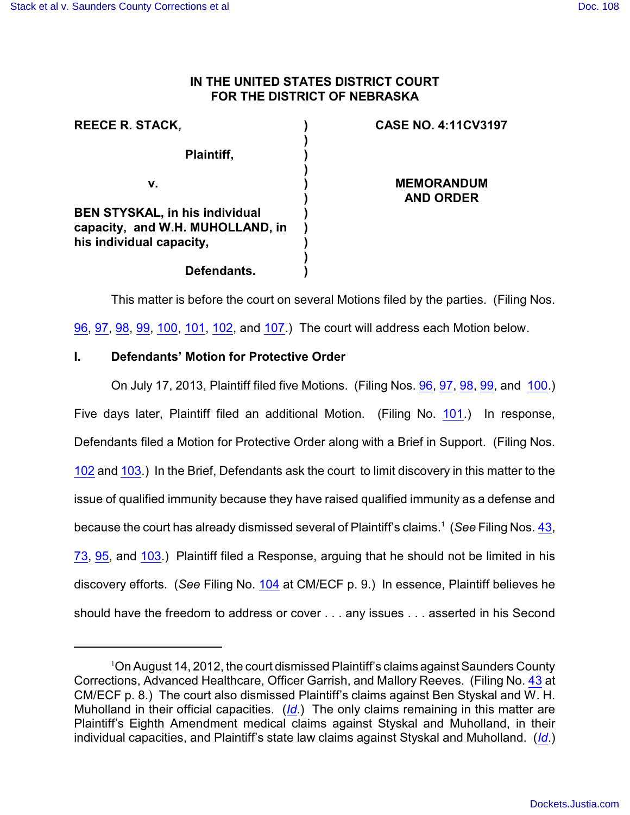## **IN THE UNITED STATES DISTRICT COURT FOR THE DISTRICT OF NEBRASKA**

| <b>REECE R. STACK,</b>                                                    | <b>CASE NO. 4:11CV3197</b>            |
|---------------------------------------------------------------------------|---------------------------------------|
| Plaintiff,                                                                |                                       |
| v.                                                                        | <b>MEMORANDUM</b><br><b>AND ORDER</b> |
| <b>BEN STYSKAL, in his individual</b><br>capacity, and W.H. MUHOLLAND, in |                                       |
| his individual capacity,<br>Defendants.                                   |                                       |
|                                                                           |                                       |

This matter is before the court on several Motions filed by the parties. (Filing Nos. [96](https://ecf.ned.uscourts.gov/doc1/11312826021), [97](https://ecf.ned.uscourts.gov/doc1/11312826027), [98](https://ecf.ned.uscourts.gov/doc1/11312826032), [99](https://ecf.ned.uscourts.gov/doc1/11312826038), [100](https://ecf.ned.uscourts.gov/doc1/11312826090), [101](https://ecf.ned.uscourts.gov/doc1/11312830458), [102](https://ecf.ned.uscourts.gov/doc1/11312832327), and [107](https://ecf.ned.uscourts.gov/doc1/11312844756).) The court will address each Motion below.

# **I. Defendants' Motion for Protective Order**

On July 17, 2013, Plaintiff filed five Motions. (Filing Nos. [96](https://ecf.ned.uscourts.gov/doc1/11312826021), [97](https://ecf.ned.uscourts.gov/doc1/11312826027), [98](https://ecf.ned.uscourts.gov/doc1/11312826032), [99](https://ecf.ned.uscourts.gov/doc1/11312826038), and [100](https://ecf.ned.uscourts.gov/doc1/11312826090).) Five days later, Plaintiff filed an additional Motion. (Filing No. [101](http://ecf.ned.uscourts.gov/doc1/11302830458).) In response, Defendants filed a Motion for Protective Order along with a Brief in Support. (Filing Nos. [102](https://ecf.ned.uscourts.gov/doc1/11312832327) and [103](https://ecf.ned.uscourts.gov/doc1/11312832332).) In the Brief, Defendants ask the court to limit discovery in this matter to the issue of qualified immunity because they have raised qualified immunity as a defense and because the court has already dismissed several of Plaintiff's claims.<sup>1</sup> (*See* Filing Nos. [43](https://ecf.ned.uscourts.gov/doc1/11312585345), [73](https://ecf.ned.uscourts.gov/doc1/11312719724), [95](https://ecf.ned.uscourts.gov/doc1/11312822178), and [103](https://ecf.ned.uscourts.gov/doc1/11312832332).) Plaintiff filed a Response, arguing that he should not be limited in his discovery efforts. (*See* Filing No. [104](http://ecf.ned.uscourts.gov/doc1/11302833027) at CM/ECF p. 9.) In essence, Plaintiff believes he should have the freedom to address or cover . . . any issues . . . asserted in his Second

 $1$ On August 14, 2012, the court dismissed Plaintiff's claims against Saunders County Corrections, Advanced Healthcare, Officer Garrish, and Mallory Reeves. (Filing No. [43](http://ecf.ned.uscourts.gov/doc1/11302585345) at CM/ECF p. 8.) The court also dismissed Plaintiff's claims against Ben Styskal and W. H. Muholland in their official capacities. (*[Id](https://ecf.ned.uscourts.gov/doc1/11312585345)*.) The only claims remaining in this matter are Plaintiff's Eighth Amendment medical claims against Styskal and Muholland, in their individual capacities, and Plaintiff's state law claims against Styskal and Muholland. (*[Id](https://ecf.ned.uscourts.gov/doc1/11312585345)*.)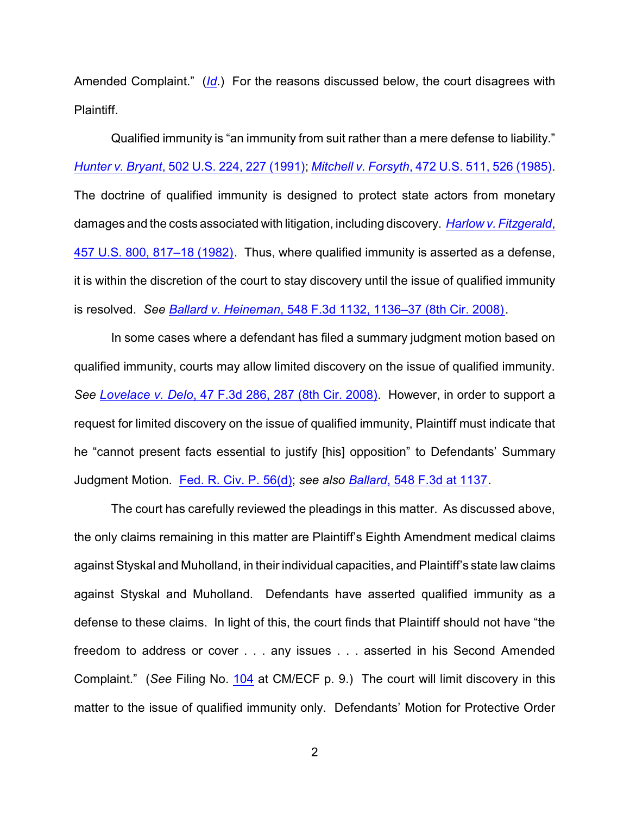Amended Complaint." (*[Id](https://ecf.ned.uscourts.gov/doc1/11312833027)*.) For the reasons discussed below, the court disagrees with Plaintiff.

Qualified immunity is "an immunity from suit rather than a mere defense to liability." *Hunter v. Bryant*[, 502 U.S. 224, 227 \(1991\)](http://web2.westlaw.com/find/default.wl?cite=502+U.S.+224+&rs=WLW12.10&vr=2.0&rp=%2ffind%2fdefault.wl&sv=Split&fn=_top&mt=Westlaw); *Mitchell v. Forsyth*[, 472 U.S. 511, 526 \(1985\)](http://web2.westlaw.com/find/default.wl?cite=472+U.S.+526&rs=WLW12.10&vr=2.0&rp=%2ffind%2fdefault.wl&sv=Split&fn=_top&mt=Westlaw). The doctrine of qualified immunity is designed to protect state actors from monetary damages and the costs associated with litigation, including discovery. *Harlow [v. Fitzgerald](http://web2.westlaw.com/find/default.wl?cite=457+U.S.+817&rs=WLW12.10&vr=2.0&rp=%2ffind%2fdefault.wl&sv=Split&fn=_top&mt=Westlaw)*, [457 U.S. 800, 817–18 \(1982\)](http://web2.westlaw.com/find/default.wl?cite=457+U.S.+817&rs=WLW12.10&vr=2.0&rp=%2ffind%2fdefault.wl&sv=Split&fn=_top&mt=Westlaw). Thus, where qualified immunity is asserted as a defense, it is within the discretion of the court to stay discovery until the issue of qualified immunity is resolved. *See Ballard v. Heineman*[, 548 F.3d 1132, 1136–37 \(8th Cir. 2008\)](http://web2.westlaw.com/find/default.wl?cite=548+F.3d+1132&rs=WLW12.10&vr=2.0&rp=%2ffind%2fdefault.wl&sv=Split&fn=_top&mt=Westlaw).

In some cases where a defendant has filed a summary judgment motion based on qualified immunity, courts may allow limited discovery on the issue of qualified immunity. *See Lovelace v. Delo*[, 47 F.3d 286, 287 \(8th Cir. 2008\)](http://web2.westlaw.com/find/default.wl?cite=47+F.3d+286+&rs=WLW12.10&vr=2.0&rp=%2ffind%2fdefault.wl&sv=Split&fn=_top&mt=Westlaw). However, in order to support a request for limited discovery on the issue of qualified immunity, Plaintiff must indicate that he "cannot present facts essential to justify [his] opposition" to Defendants' Summary Judgment Motion. [Fed. R. Civ. P. 56\(d\)](http://web2.westlaw.com/find/default.wl?cite=Fed.R.Civ.P.+56(f)&rs=WLW12.10&vr=2.0&rp=%2ffind%2fdefault.wl&sv=Split&fn=_top&mt=Westlaw); *see also Ballard*[, 548 F.3d at 1137](http://web2.westlaw.com/find/default.wl?cite=548+F.3d+1136&rs=WLW12.10&vr=2.0&rp=%2ffind%2fdefault.wl&sv=Split&fn=_top&mt=Westlaw).

The court has carefully reviewed the pleadings in this matter. As discussed above, the only claims remaining in this matter are Plaintiff's Eighth Amendment medical claims against Styskal and Muholland, in their individual capacities, and Plaintiff's state law claims against Styskal and Muholland. Defendants have asserted qualified immunity as a defense to these claims. In light of this, the court finds that Plaintiff should not have "the freedom to address or cover . . . any issues . . . asserted in his Second Amended Complaint." (*See* Filing No. [104](http://ecf.ned.uscourts.gov/doc1/11302833027) at CM/ECF p. 9.) The court will limit discovery in this matter to the issue of qualified immunity only. Defendants' Motion for Protective Order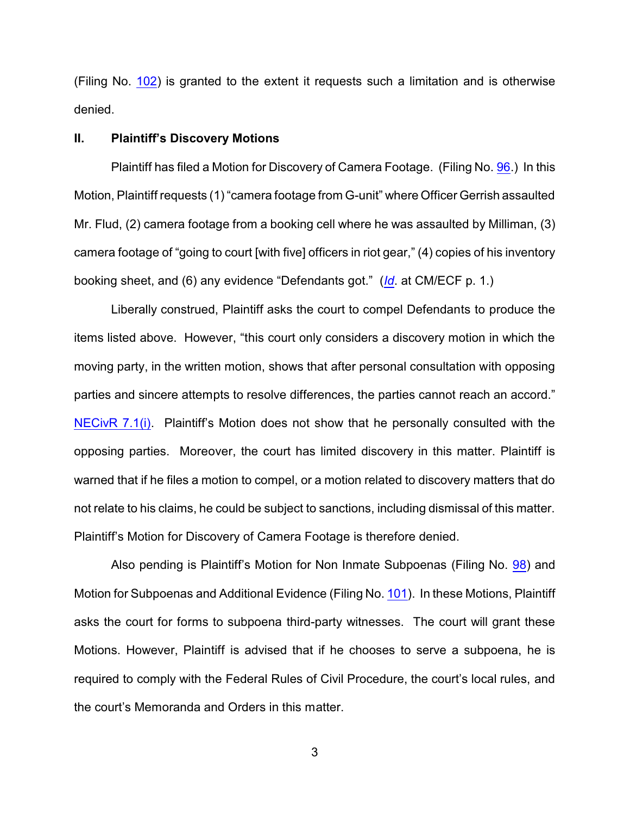(Filing No. [102](http://ecf.ned.uscourts.gov/doc1/11302832327)) is granted to the extent it requests such a limitation and is otherwise denied.

### **II. Plaintiff's Discovery Motions**

Plaintiff has filed a Motion for Discovery of Camera Footage. (Filing No. [96](http://ecf.ned.uscourts.gov/doc1/11302826021).) In this Motion, Plaintiff requests (1) "camera footage from G-unit" where Officer Gerrish assaulted Mr. Flud, (2) camera footage from a booking cell where he was assaulted by Milliman, (3) camera footage of "going to court [with five] officers in riot gear," (4) copies of his inventory booking sheet, and (6) any evidence "Defendants got." (*[Id](https://ecf.ned.uscourts.gov/doc1/11312826021)*. at CM/ECF p. 1.)

Liberally construed, Plaintiff asks the court to compel Defendants to produce the items listed above. However, "this court only considers a discovery motion in which the moving party, in the written motion, shows that after personal consultation with opposing parties and sincere attempts to resolve differences, the parties cannot reach an accord." [NECivR 7.1\(i\)](http://www.ned.uscourts.gov/localrules/rules12/NECivR/7.1.pdf). Plaintiff's Motion does not show that he personally consulted with the opposing parties. Moreover, the court has limited discovery in this matter. Plaintiff is warned that if he files a motion to compel, or a motion related to discovery matters that do not relate to his claims, he could be subject to sanctions, including dismissal of this matter. Plaintiff's Motion for Discovery of Camera Footage is therefore denied.

Also pending is Plaintiff's Motion for Non Inmate Subpoenas (Filing No. [98](http://ecf.ned.uscourts.gov/doc1/11302826032)) and Motion for Subpoenas and Additional Evidence (Filing No. [101](http://ecf.ned.uscourts.gov/doc1/11302830458)). In these Motions, Plaintiff asks the court for forms to subpoena third-party witnesses. The court will grant these Motions. However, Plaintiff is advised that if he chooses to serve a subpoena, he is required to comply with the Federal Rules of Civil Procedure, the court's local rules, and the court's Memoranda and Orders in this matter.

3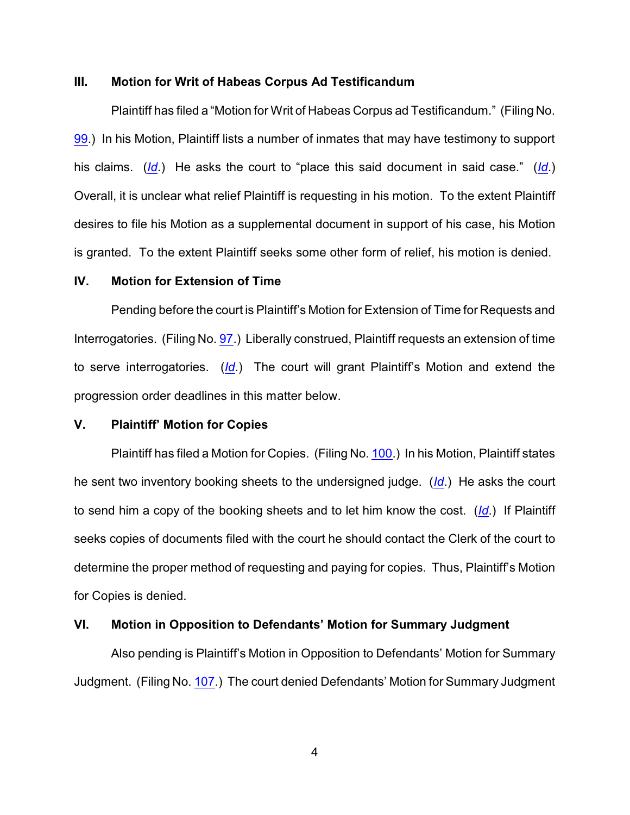### **III. Motion for Writ of Habeas Corpus Ad Testificandum**

Plaintiff has filed a "Motion for Writ of Habeas Corpus ad Testificandum." (Filing No. [99](http://ecf.ned.uscourts.gov/doc1/11302826038).) In his Motion, Plaintiff lists a number of inmates that may have testimony to support his claims. (*[Id](https://ecf.ned.uscourts.gov/doc1/11312826038)*.) He asks the court to "place this said document in said case." (*[Id](https://ecf.ned.uscourts.gov/doc1/11312826038)*.) Overall, it is unclear what relief Plaintiff is requesting in his motion. To the extent Plaintiff desires to file his Motion as a supplemental document in support of his case, his Motion is granted. To the extent Plaintiff seeks some other form of relief, his motion is denied.

#### **IV. Motion for Extension of Time**

Pending before the court is Plaintiff's Motion for Extension of Time for Requests and Interrogatories. (Filing No. [97](http://ecf.ned.uscourts.gov/doc1/11302826027).) Liberally construed, Plaintiff requests an extension of time to serve interrogatories. (*[Id](https://ecf.ned.uscourts.gov/doc1/11312826027)*.) The court will grant Plaintiff's Motion and extend the progression order deadlines in this matter below.

### **V. Plaintiff' Motion for Copies**

Plaintiff has filed a Motion for Copies. (Filing No. [100](http://ecf.ned.uscourts.gov/doc1/11302826090).) In his Motion, Plaintiff states he sent two inventory booking sheets to the undersigned judge. (*[Id](https://ecf.ned.uscourts.gov/doc1/11312826090)*.) He asks the court to send him a copy of the booking sheets and to let him know the cost. (*[Id](https://ecf.ned.uscourts.gov/doc1/11312826090)*.) If Plaintiff seeks copies of documents filed with the court he should contact the Clerk of the court to determine the proper method of requesting and paying for copies. Thus, Plaintiff's Motion for Copies is denied.

## **VI. Motion in Opposition to Defendants' Motion for Summary Judgment**

Also pending is Plaintiff's Motion in Opposition to Defendants' Motion for Summary Judgment. (Filing No. [107](http://ecf.ned.uscourts.gov/doc1/11302844756).) The court denied Defendants' Motion for Summary Judgment

4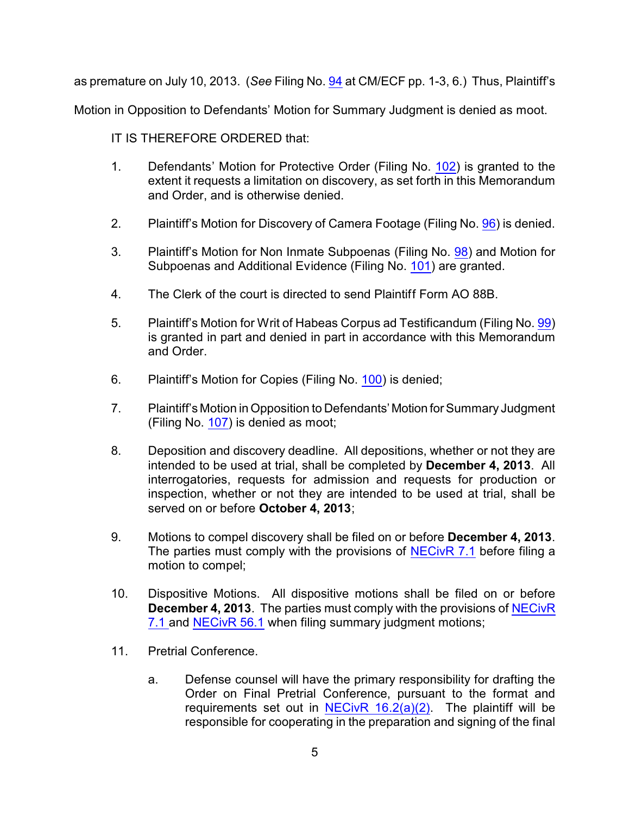as premature on July 10, 2013. (*See* Filing No. [94](http://ecf.ned.uscourts.gov/doc1/11302821903) at CM/ECF pp. 1-3, 6.) Thus, Plaintiff's

Motion in Opposition to Defendants' Motion for Summary Judgment is denied as moot.

IT IS THEREFORE ORDERED that:

- 1. Defendants' Motion for Protective Order (Filing No. [102](http://ecf.ned.uscourts.gov/doc1/11302832327)) is granted to the extent it requests a limitation on discovery, as set forth in this Memorandum and Order, and is otherwise denied.
- 2. Plaintiff's Motion for Discovery of Camera Footage (Filing No. [96](http://ecf.ned.uscourts.gov/doc1/11302826021)) is denied.
- 3. Plaintiff's Motion for Non Inmate Subpoenas (Filing No. [98](http://ecf.ned.uscourts.gov/doc1/11302826032)) and Motion for Subpoenas and Additional Evidence (Filing No. [101](http://ecf.ned.uscourts.gov/doc1/11302830458)) are granted.
- 4. The Clerk of the court is directed to send Plaintiff Form AO 88B.
- 5. Plaintiff's Motion for Writ of Habeas Corpus ad Testificandum (Filing No. [99](http://ecf.ned.uscourts.gov/doc1/11302826038)) is granted in part and denied in part in accordance with this Memorandum and Order.
- 6. Plaintiff's Motion for Copies (Filing No. [100](http://ecf.ned.uscourts.gov/doc1/11302826090)) is denied;
- 7. Plaintiff's Motion in Opposition to Defendants' Motion forSummary Judgment (Filing No. [107](http://ecf.ned.uscourts.gov/doc1/11302844756)) is denied as moot;
- 8. Deposition and discovery deadline. All depositions, whether or not they are intended to be used at trial, shall be completed by **December 4, 2013**. All interrogatories, requests for admission and requests for production or inspection, whether or not they are intended to be used at trial, shall be served on or before **October 4, 2013**;
- 9. Motions to compel discovery shall be filed on or before **December 4, 2013**. The parties must comply with the provisions of [NECivR 7.1](http://www.ned.uscourts.gov/localrules/rules12/NECivR/7.1.pdf) before filing a motion to compel;
- 10. Dispositive Motions. All dispositive motions shall be filed on or before **December 4, 2013**. The parties must comply with the provisions of [NECivR](http://www.ned.uscourts.gov/localrules/rules12/NECivR/7.1.pdf) [7.1](http://www.ned.uscourts.gov/localrules/rules12/NECivR/7.1.pdf) and [NECivR 56.1](http://www.ned.uscourts.gov/localrules/rules12/NECivR/56.1.pdf) when filing summary judgment motions;
- 11. Pretrial Conference.
	- a. Defense counsel will have the primary responsibility for drafting the Order on Final Pretrial Conference, pursuant to the format and requirements set out in NECivR  $16.2(a)(2)$ . The plaintiff will be responsible for cooperating in the preparation and signing of the final